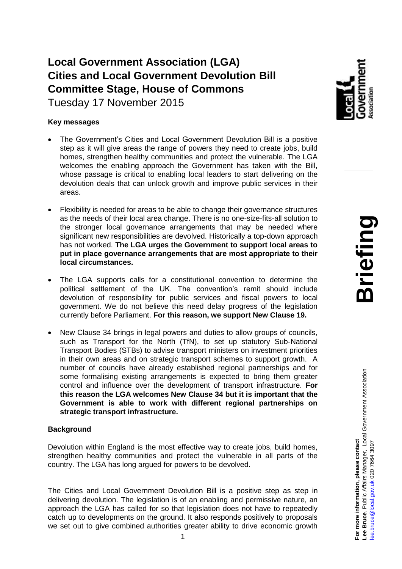# **Local Government Association (LGA) Cities and Local Government Devolution Bill Committee Stage, House of Commons**

Tuesday 17 November 2015

### **Key messages**

- The Government's Cities and Local Government Devolution Bill is a positive step as it will give areas the range of powers they need to create jobs, build homes, strengthen healthy communities and protect the vulnerable. The LGA welcomes the enabling approach the Government has taken with the Bill, whose passage is critical to enabling local leaders to start delivering on the devolution deals that can unlock growth and improve public services in their areas.
- Flexibility is needed for areas to be able to change their governance structures as the needs of their local area change. There is no one-size-fits-all solution to the stronger local governance arrangements that may be needed where significant new responsibilities are devolved. Historically a top-down approach has not worked. **The LGA urges the Government to support local areas to put in place governance arrangements that are most appropriate to their local circumstances.**
- The LGA supports calls for a constitutional convention to determine the political settlement of the UK. The convention's remit should include devolution of responsibility for public services and fiscal powers to local government. We do not believe this need delay progress of the legislation currently before Parliament. **For this reason, we support New Clause 19.**
- New Clause 34 brings in legal powers and duties to allow groups of councils, such as Transport for the North (TfN), to set up statutory Sub-National Transport Bodies (STBs) to advise transport ministers on investment priorities in their own areas and on strategic transport schemes to support growth. A number of councils have already established regional partnerships and for some formalising existing arrangements is expected to bring them greater control and influence over the development of transport infrastructure. **For this reason the LGA welcomes New Clause 34 but it is important that the Government is able to work with different regional partnerships on strategic transport infrastructure.**

## **Background**

Devolution within England is the most effective way to create jobs, build homes, strengthen healthy communities and protect the vulnerable in all parts of the country. The LGA has long argued for powers to be devolved.

The Cities and Local Government Devolution Bill is a positive step as step in delivering devolution. The legislation is of an enabling and permissive nature, an approach the LGA has called for so that legislation does not have to repeatedly catch up to developments on the ground. It also responds positively to proposals we set out to give combined authorities greater ability to drive economic growth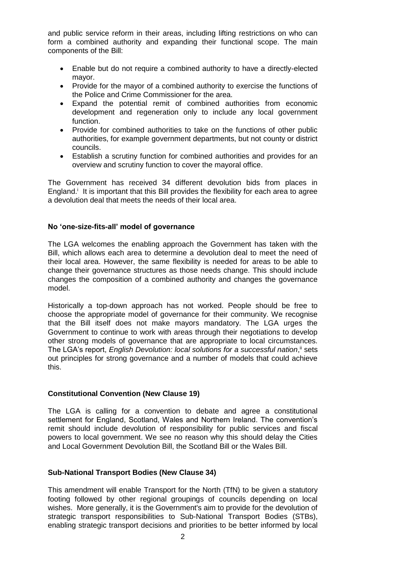and public service reform in their areas, including lifting restrictions on who can form a combined authority and expanding their functional scope. The main components of the Bill:

- Enable but do not require a combined authority to have a directly-elected mayor.
- Provide for the mayor of a combined authority to exercise the functions of the Police and Crime Commissioner for the area.
- Expand the potential remit of combined authorities from economic development and regeneration only to include any local government function.
- Provide for combined authorities to take on the functions of other public authorities, for example government departments, but not county or district councils.
- Establish a scrutiny function for combined authorities and provides for an overview and scrutiny function to cover the mayoral office.

The Government has received 34 different devolution bids from places in England.<sup>*i*</sup> It is important that this Bill provides the flexibility for each area to agree a devolution deal that meets the needs of their local area.

#### **No 'one-size-fits-all' model of governance**

The LGA welcomes the enabling approach the Government has taken with the Bill, which allows each area to determine a devolution deal to meet the need of their local area. However, the same flexibility is needed for areas to be able to change their governance structures as those needs change. This should include changes the composition of a combined authority and changes the governance model.

Historically a top-down approach has not worked. People should be free to choose the appropriate model of governance for their community. We recognise that the Bill itself does not make mayors mandatory. The LGA urges the Government to continue to work with areas through their negotiations to develop other strong models of governance that are appropriate to local circumstances. The LGA's report, *English Devolution: local solutions for a successful nation*,<sup>ii</sup> sets out principles for strong governance and a number of models that could achieve this.

#### **Constitutional Convention (New Clause 19)**

The LGA is calling for a convention to debate and agree a constitutional settlement for England, Scotland, Wales and Northern Ireland. The convention's remit should include devolution of responsibility for public services and fiscal powers to local government. We see no reason why this should delay the Cities and Local Government Devolution Bill, the Scotland Bill or the Wales Bill.

#### **Sub-National Transport Bodies (New Clause 34)**

This amendment will enable Transport for the North (TfN) to be given a statutory footing followed by other regional groupings of councils depending on local wishes. More generally, it is the Government's aim to provide for the devolution of strategic transport responsibilities to Sub-National Transport Bodies (STBs), enabling strategic transport decisions and priorities to be better informed by local